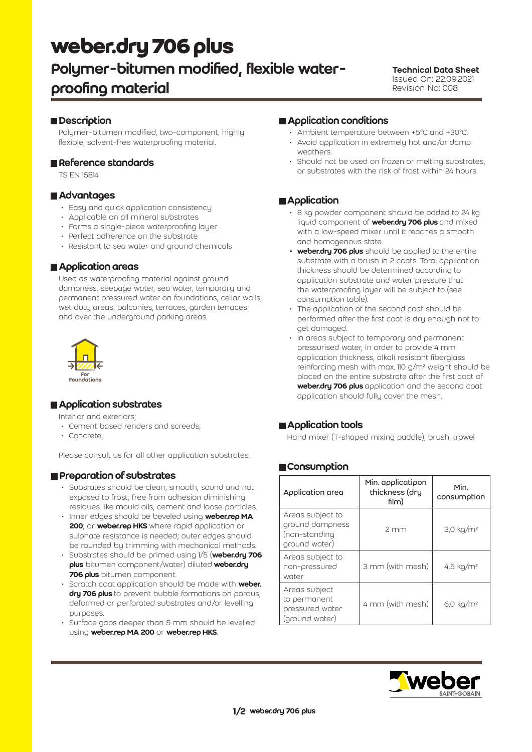# **weber.dry 706 plus**

## Polymer-bitumen modified, flexible waterproofing material

#### Technical Data Sheet Issued On: 22.09.2021 Revision No: 008

#### **Description**

Polymer-bitumen modified, two-component, highly flexible, solvent-free waterproofing material.

#### Reference standards

TS EN 15814

#### **■ Advantages**

- Easy and quick application consistency
- Applicable on all mineral substrates
- Forms a single-piece waterproofing layer
- Perfect adherence on the substrate
- Resistant to sea water and ground chemicals

#### **Application areas**

Used as waterproofing material against ground dampness, seepage water, sea water, temporary and permanent pressured water on foundations, cellar walls, wet duty areas, balconies, terraces, garden terraces and over the underground parking areas.



#### **Application substrates**

Interior and exteriors;

- Cement based renders and screeds,
- Concrete,

Please consult us for all other application substrates.

#### **Preparation of substrates**

- Subsrates should be clean, smooth, sound and not exposed to frost; free from adhesion diminishing residues like mould oils, cement and loose particles.
- Inner edges should be beveled using **weber.rep MA** 200; or weber.rep HKS where rapid application or sulphate resistance is needed; outer edges should be rounded by trimming with mechanical methods.
- Substrates should be primed using 1/5 (weber.dry 706 **plus** bitumen component/water) diluted weber.dru 706 plus bitumen component.
- Scratch coat application should be made with weber. dry 706 plus to prevent bubble formations on porous, deformed or perforated substrates and/or levelling purposes.
- Surface gaps deeper than 5 mm should be levelled using weber.rep MA 200 or weber.rep HKS.

#### **Application conditions**

- Ambient temperature between +5°C and +30°C.
- Avoid application in extremely hot and/or damp weathers.
- Should not be used on frozen or melting substrates, or substrates with the risk of frost within 24 hours.

#### **Application**

- 8 kg powder component should be added to 24 kg liquid component of **weber.dry 706 plus** and mixed with a low-speed mixer until it reaches a smooth and homogenous state.
- weber.dry 706 plus should be applied to the entire substrate with a brush in 2 coats. Total application thickness should be determined according to application substrate and water pressure that the waterproofing layer will be subject to (see consumption table).
- The application of the second coat should be performed after the first coat is dry enough not to get damaged.
- In areas subject to temporary and permanent pressurised water, in order to provide 4 mm application thickness, alkali resistant fiberglass reinforcing mesh with max. 110 g/m2 weight should be placed on the entire substrate after the first coat of weber.dry 706 plus application and the second coat application should fully cover the mesh.

#### **Application tools**

Hand mixer (T-shaped mixing paddle), brush, trowel

#### Consumption

| Application area                                                      | Min. applicatipon<br>thickness (dru<br>film) | Min.<br>consumption  |
|-----------------------------------------------------------------------|----------------------------------------------|----------------------|
| Areas subject to<br>ground dampness<br>(non-standing<br>ground water) | 2mm                                          | $3,0 \text{ kg/m}^2$ |
| Areas subject to<br>non-pressured<br>water                            | 3 mm (with mesh)                             | 4,5 $kg/m2$          |
| Areas subject<br>to permanent<br>pressured water<br>(ground water)    | 4 mm (with mesh)                             | $6,0 \text{ kg/m}^2$ |